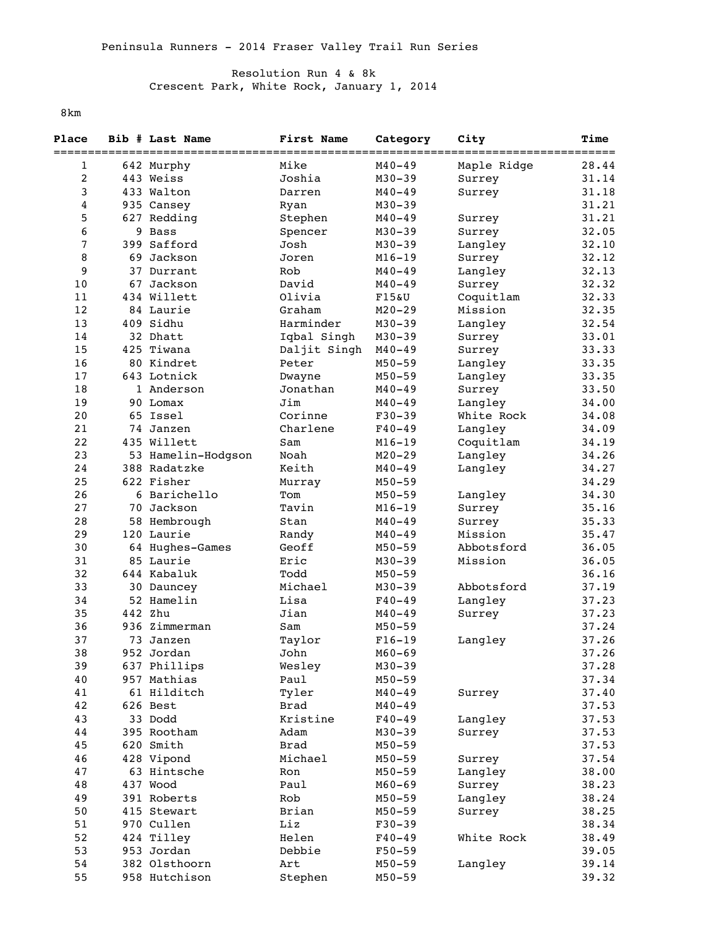## Resolution Run 4 & 8k Crescent Park, White Rock, January 1, 2014

8km

| Place<br>========= |    | Bib # Last Name    | First Name   | Category   | City        | Time<br>===== |
|--------------------|----|--------------------|--------------|------------|-------------|---------------|
| 1                  |    | 642 Murphy         | Mike         | $M40 - 49$ | Maple Ridge | 28.44         |
| $\overline{2}$     |    | 443 Weiss          | Joshia       | $M30 - 39$ | Surrey      | 31.14         |
| 3                  |    | 433 Walton         | Darren       | $M40 - 49$ | Surrey      | 31.18         |
| 4                  |    | 935 Cansey         | Ryan         | $M30 - 39$ |             | 31.21         |
| 5                  |    | 627 Redding        | Stephen      | $M40 - 49$ | Surrey      | 31.21         |
| 6                  |    | 9 Bass             | Spencer      | $M30 - 39$ | Surrey      | 32.05         |
| 7                  |    | 399 Safford        | Josh         | $M30 - 39$ | Langley     | 32.10         |
| 8                  |    | 69 Jackson         | Joren        | $M16 - 19$ | Surrey      | 32.12         |
| 9                  |    | 37 Durrant         | Rob          | $M40 - 49$ | Langley     | 32.13         |
| 10                 | 67 | Jackson            | David        | M40-49     | Surrey      | 32.32         |
| 11                 |    | 434 Willett        | Olivia       | $F15\&U$   | Coquitlam   | 32.33         |
| 12                 |    | 84 Laurie          | Graham       | $M20 - 29$ | Mission     | 32.35         |
| 13                 |    | 409 Sidhu          | Harminder    | $M30 - 39$ | Langley     | 32.54         |
| 14                 |    | 32 Dhatt           | Iqbal Singh  | $M30 - 39$ | Surrey      | 33.01         |
| 15                 |    | 425 Tiwana         | Daljit Singh | $M40 - 49$ | Surrey      | 33.33         |
| 16                 |    | 80 Kindret         | Peter        | $M50 - 59$ | Langley     | 33.35         |
| 17                 |    | 643 Lotnick        | Dwayne       | $M50 - 59$ | Langley     | 33.35         |
| 18                 |    | 1 Anderson         | Jonathan     | $M40 - 49$ | Surrey      | 33.50         |
| 19                 |    | 90 Lomax           | Jim          | $M40 - 49$ | Langley     | 34.00         |
| 20                 |    | 65 Issel           | Corinne      | $F30-39$   | White Rock  | 34.08         |
| 21                 |    | 74 Janzen          | Charlene     | $F40 - 49$ | Langley     | 34.09         |
| 22                 |    | 435 Willett        | Sam          | $M16 - 19$ | Coquitlam   | 34.19         |
| 23                 |    | 53 Hamelin-Hodgson | Noah         | $M20 - 29$ | Langley     | 34.26         |
| 24                 |    | 388 Radatzke       | Keith        | $M40 - 49$ | Langley     | 34.27         |
| 25                 |    | 622 Fisher         | Murray       | $M50 - 59$ |             | 34.29         |
| 26                 |    | 6 Barichello       | Tom          | $M50 - 59$ | Langley     | 34.30         |
| 27                 |    | 70 Jackson         | Tavin        | $M16 - 19$ | Surrey      | 35.16         |
| 28                 |    | 58 Hembrough       | Stan         | $M40 - 49$ | Surrey      | 35.33         |
| 29                 |    | 120 Laurie         | Randy        | $M40 - 49$ | Mission     | 35.47         |
| 30                 |    | 64 Hughes-Games    | Geoff        | $M50 - 59$ | Abbotsford  | 36.05         |
| 31                 |    | 85 Laurie          | Eric         | $M30 - 39$ | Mission     | 36.05         |
| 32                 |    | 644 Kabaluk        | Todd         | $M50 - 59$ |             | 36.16         |
| 33                 |    | 30 Dauncey         | Michael      | $M30 - 39$ | Abbotsford  | 37.19         |
| 34                 |    | 52 Hamelin         | Lisa         | $F40 - 49$ | Langley     | 37.23         |
| 35                 |    | 442 Zhu            | Jian         | $M40 - 49$ | Surrey      | 37.23         |
| 36                 |    | 936 Zimmerman      | Sam          | $M50 - 59$ |             | 37.24         |
| 37                 | 73 | Janzen             | Taylor       | $F16-19$   | Langley     | 37.26         |
| 38                 |    | 952 Jordan         | John         | $M60 - 69$ |             | 37.26         |
| 39                 |    | 637 Phillips       | Wesley       | $M30 - 39$ |             | 37.28         |
| 40                 |    | 957 Mathias        | Paul         | $M50 - 59$ |             | 37.34         |
| 41                 |    | 61 Hilditch        | Tyler        | $M40 - 49$ | Surrey      | 37.40         |
| 42                 |    | 626 Best           | <b>Brad</b>  | $M40 - 49$ |             | 37.53         |
| 43                 |    | 33 Dodd            | Kristine     | $F40 - 49$ | Langley     | 37.53         |
| 44                 |    | 395 Rootham        | Adam         | $M30 - 39$ | Surrey      | 37.53         |
| 45                 |    | 620 Smith          | Brad         | $M50 - 59$ |             | 37.53         |
| 46                 |    | 428 Vipond         | Michael      | $M50 - 59$ | Surrey      | 37.54         |
| 47                 |    | 63 Hintsche        | Ron          | $M50 - 59$ | Langley     | 38.00         |
| 48                 |    | 437 Wood           | Paul         | $M60 - 69$ | Surrey      | 38.23         |
| 49                 |    | 391 Roberts        | Rob          | $M50 - 59$ | Langley     | 38.24         |
| 50                 |    | 415 Stewart        | Brian        | $M50 - 59$ | Surrey      | 38.25         |
| 51                 |    | 970 Cullen         | Liz          | $F30-39$   |             | 38.34         |
| 52                 |    | 424 Tilley         | Helen        | $F40 - 49$ | White Rock  | 38.49         |
| 53                 |    | 953 Jordan         | Debbie       | $F50 - 59$ |             | 39.05         |
| 54                 |    | 382 Olsthoorn      | Art          | $M50 - 59$ | Langley     | 39.14         |
| 55                 |    | 958 Hutchison      | Stephen      | $M50 - 59$ |             | 39.32         |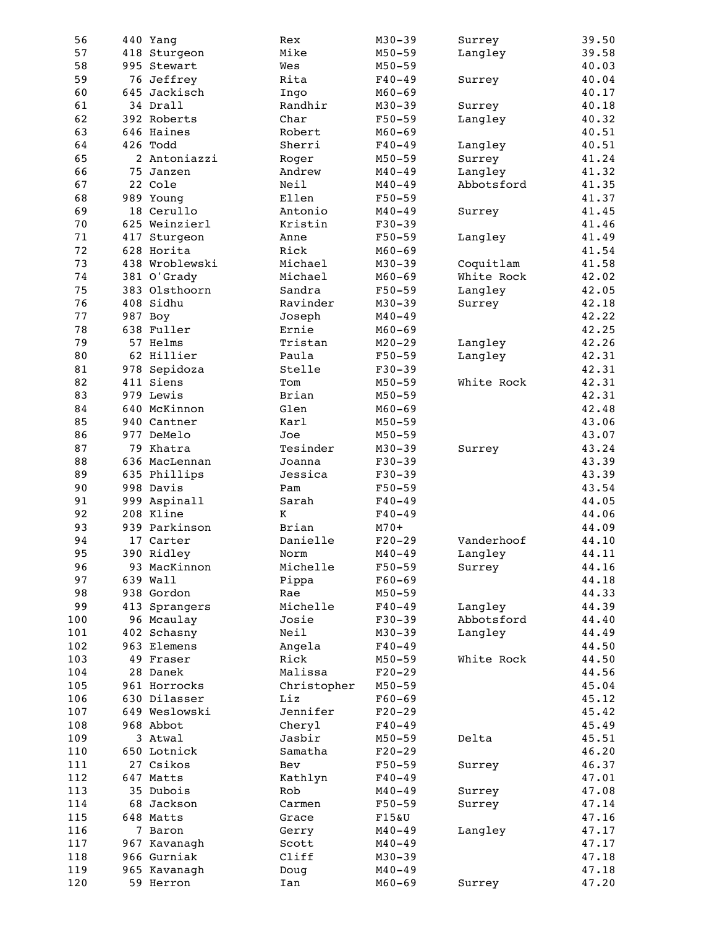| 56  | 440 Yang       | Rex         | $M30 - 39$ | Surrey     | 39.50 |
|-----|----------------|-------------|------------|------------|-------|
| 57  | 418 Sturgeon   | Mike        | $M50 - 59$ | Langley    | 39.58 |
| 58  | 995 Stewart    | Wes         | $M50 - 59$ |            | 40.03 |
| 59  | 76 Jeffrey     | Rita        | $F40 - 49$ | Surrey     | 40.04 |
| 60  | 645 Jackisch   | Ingo        | $M60 - 69$ |            | 40.17 |
| 61  | 34 Drall       | Randhir     | $M30 - 39$ | Surrey     | 40.18 |
| 62  | 392 Roberts    | Char        | $F50 - 59$ | Langley    | 40.32 |
|     |                |             |            |            |       |
| 63  | 646 Haines     | Robert      | $M60 - 69$ |            | 40.51 |
| 64  | 426 Todd       | Sherri      | $F40 - 49$ | Langley    | 40.51 |
| 65  | 2 Antoniazzi   | Roger       | $M50 - 59$ | Surrey     | 41.24 |
| 66  | 75 Janzen      | Andrew      | $M40 - 49$ | Langley    | 41.32 |
| 67  | 22 Cole        | Neil        | $M40 - 49$ | Abbotsford | 41.35 |
| 68  | 989 Young      | Ellen       | $F50 - 59$ |            | 41.37 |
| 69  | 18 Cerullo     | Antonio     | $M40 - 49$ | Surrey     | 41.45 |
| 70  | 625 Weinzierl  | Kristin     | $F30-39$   |            | 41.46 |
| 71  | 417 Sturgeon   | Anne        | $F50 - 59$ | Langley    | 41.49 |
| 72  |                |             |            |            |       |
|     | 628 Horita     | Rick        | $M60 - 69$ |            | 41.54 |
| 73  | 438 Wroblewski | Michael     | $M30 - 39$ | Coquitlam  | 41.58 |
| 74  | 381 O'Grady    | Michael     | $M60 - 69$ | White Rock | 42.02 |
| 75  | 383 Olsthoorn  | Sandra      | $F50 - 59$ | Langley    | 42.05 |
| 76  | 408 Sidhu      | Ravinder    | $M30 - 39$ | Surrey     | 42.18 |
| 77  | 987 Boy        | Joseph      | $M40 - 49$ |            | 42.22 |
| 78  | 638 Fuller     | Ernie       | $M60 - 69$ |            | 42.25 |
| 79  | 57 Helms       | Tristan     | $M20 - 29$ | Langley    | 42.26 |
| 80  | 62 Hillier     | Paula       | $F50 - 59$ | Langley    | 42.31 |
| 81  | 978 Sepidoza   | Stelle      | $F30-39$   |            | 42.31 |
|     | 411 Siens      |             |            |            |       |
| 82  |                | Tom         | $M50 - 59$ | White Rock | 42.31 |
| 83  | 979 Lewis      | Brian       | $M50 - 59$ |            | 42.31 |
| 84  | 640 McKinnon   | Glen        | $M60 - 69$ |            | 42.48 |
| 85  | 940 Cantner    | Karl        | $M50 - 59$ |            | 43.06 |
| 86  | 977 DeMelo     | Joe         | $M50 - 59$ |            | 43.07 |
| 87  | 79 Khatra      | Tesinder    | $M30 - 39$ | Surrey     | 43.24 |
| 88  | 636 MacLennan  | Joanna      | $F30-39$   |            | 43.39 |
| 89  | 635 Phillips   | Jessica     | $F30-39$   |            | 43.39 |
| 90  | 998 Davis      | Pam         | $F50 - 59$ |            | 43.54 |
| 91  | 999 Aspinall   | Sarah       | $F40 - 49$ |            | 44.05 |
| 92  | 208 Kline      | Κ           | $F40 - 49$ |            | 44.06 |
|     |                |             |            |            |       |
| 93  | 939 Parkinson  | Brian       | $M70+$     |            | 44.09 |
| 94  | 17 Carter      | Danielle    | $F20-29$   | Vanderhoof | 44.10 |
| 95  | 390 Ridley     | Norm        | $M40 - 49$ | Langley    | 44.11 |
| 96  | 93 MacKinnon   | Michelle    | $F50 - 59$ | Surrey     | 44.16 |
| 97  | 639 Wall       | Pippa       | $F60 - 69$ |            | 44.18 |
| 98  | 938 Gordon     | Rae         | $M50 - 59$ |            | 44.33 |
| 99  | 413 Sprangers  | Michelle    | $F40 - 49$ | Langley    | 44.39 |
| 100 | 96 Mcaulay     | Josie       | $F30-39$   | Abbotsford | 44.40 |
| 101 | 402 Schasny    | Neil        | $M30 - 39$ | Langley    | 44.49 |
| 102 | 963 Elemens    | Angela      | $F40 - 49$ |            | 44.50 |
| 103 | 49 Fraser      | Rick        | $M50 - 59$ | White Rock | 44.50 |
|     |                |             |            |            |       |
| 104 | 28 Danek       | Malissa     | $F20-29$   |            | 44.56 |
| 105 | 961 Horrocks   | Christopher | $M50 - 59$ |            | 45.04 |
| 106 | 630 Dilasser   | Liz         | $F60 - 69$ |            | 45.12 |
| 107 | 649 Weslowski  | Jennifer    | $F20-29$   |            | 45.42 |
| 108 | 968 Abbot      | Cheryl      | $F40 - 49$ |            | 45.49 |
| 109 | 3 Atwal        | Jasbir      | $M50 - 59$ | Delta      | 45.51 |
| 110 | 650 Lotnick    | Samatha     | $F20-29$   |            | 46.20 |
| 111 | 27 Csikos      | Bev         | $F50 - 59$ | Surrey     | 46.37 |
| 112 | 647 Matts      | Kathlyn     | $F40 - 49$ |            | 47.01 |
| 113 | 35 Dubois      | Rob         | $M40 - 49$ |            | 47.08 |
|     |                |             |            | Surrey     |       |
| 114 | 68 Jackson     | Carmen      | $F50 - 59$ | Surrey     | 47.14 |
| 115 | 648 Matts      | Grace       | F15&U      |            | 47.16 |
| 116 | 7 Baron        | Gerry       | $M40 - 49$ | Langley    | 47.17 |
| 117 | 967 Kavanagh   | Scott       | $M40 - 49$ |            | 47.17 |
| 118 | 966 Gurniak    | Cliff       | $M30 - 39$ |            | 47.18 |
| 119 | 965 Kavanagh   | Doug        | $M40 - 49$ |            | 47.18 |
| 120 | 59 Herron      | Ian         | $M60 - 69$ | Surrey     | 47.20 |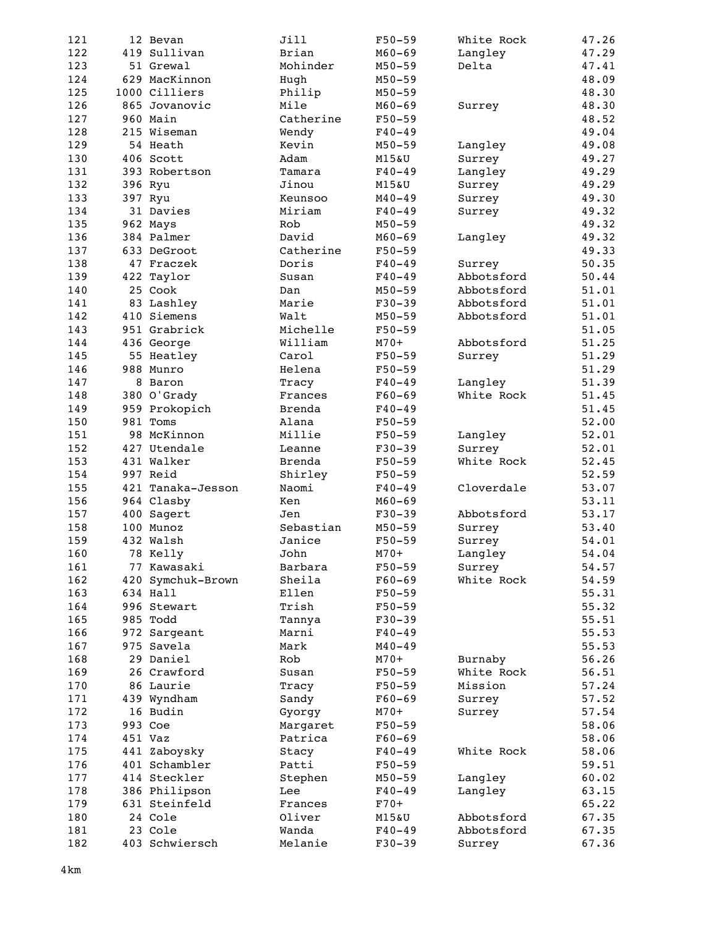| 121 | 12 Bevan          | Jill      | $F50 - 59$       | White Rock | 47.26 |
|-----|-------------------|-----------|------------------|------------|-------|
| 122 | 419 Sullivan      | Brian     | $M60 - 69$       | Langley    | 47.29 |
| 123 | 51 Grewal         | Mohinder  | $M50 - 59$       | Delta      | 47.41 |
| 124 | 629 MacKinnon     | Hugh      | $M50 - 59$       |            | 48.09 |
| 125 | 1000 Cilliers     | Philip    | $M50 - 59$       |            | 48.30 |
| 126 | 865 Jovanovic     | Mile      | $M60 - 69$       | Surrey     | 48.30 |
| 127 | 960 Main          | Catherine | $F50 - 59$       |            | 48.52 |
| 128 | 215 Wiseman       | Wendy     | $F40 - 49$       |            | 49.04 |
| 129 | 54 Heath          | Kevin     | $M50 - 59$       | Langley    | 49.08 |
| 130 | 406 Scott         | Adam      | <b>M15&amp;U</b> | Surrey     | 49.27 |
| 131 | 393 Robertson     | Tamara    | $F40 - 49$       | Langley    | 49.29 |
| 132 | 396 Ryu           | Jinou     | M15&U            | Surrey     | 49.29 |
| 133 | 397 Ryu           | Keunsoo   | $M40 - 49$       | Surrey     | 49.30 |
| 134 | 31 Davies         | Miriam    | $F40 - 49$       | Surrey     | 49.32 |
| 135 | 962 Mays          | Rob       | $M50 - 59$       |            | 49.32 |
| 136 | 384 Palmer        | David     | $M60 - 69$       | Langley    | 49.32 |
| 137 | 633 DeGroot       | Catherine | $F50 - 59$       |            | 49.33 |
| 138 | 47 Fraczek        | Doris     | $F40 - 49$       | Surrey     | 50.35 |
| 139 | 422 Taylor        | Susan     | $F40 - 49$       | Abbotsford | 50.44 |
| 140 | 25 Cook           | Dan       | $M50 - 59$       | Abbotsford | 51.01 |
| 141 | 83 Lashley        | Marie     | $F30-39$         | Abbotsford | 51.01 |
| 142 | 410 Siemens       | Walt      | $M50 - 59$       | Abbotsford | 51.01 |
| 143 | 951 Grabrick      | Michelle  | $F50 - 59$       |            | 51.05 |
| 144 | 436 George        | William   | $M70+$           | Abbotsford | 51.25 |
| 145 | 55 Heatley        | Carol     | $F50 - 59$       | Surrey     | 51.29 |
| 146 | 988 Munro         | Helena    | $F50 - 59$       |            | 51.29 |
| 147 | 8 Baron           | Tracy     | $F40 - 49$       | Langley    | 51.39 |
| 148 | 380 O'Grady       | Frances   | $F60 - 69$       | White Rock | 51.45 |
| 149 | 959 Prokopich     | Brenda    | $F40 - 49$       |            | 51.45 |
| 150 | 981 Toms          | Alana     | $F50 - 59$       |            | 52.00 |
| 151 | 98 McKinnon       | Millie    | $F50 - 59$       | Langley    | 52.01 |
| 152 | 427 Utendale      | Leanne    | $F30-39$         | Surrey     | 52.01 |
| 153 | 431 Walker        | Brenda    | $F50 - 59$       | White Rock | 52.45 |
| 154 | 997 Reid          | Shirley   | $F50 - 59$       |            | 52.59 |
| 155 | 421 Tanaka-Jesson | Naomi     | $F40 - 49$       | Cloverdale | 53.07 |
| 156 | 964 Clasby        | Ken       | $M60 - 69$       |            | 53.11 |
| 157 | 400 Sagert        | Jen       | $F30-39$         | Abbotsford | 53.17 |
| 158 | 100 Munoz         | Sebastian | $M50 - 59$       | Surrey     | 53.40 |
| 159 | 432 Walsh         | Janice    | $F50 - 59$       | Surrey     | 54.01 |
| 160 | 78 Kelly          | John      | $M70+$           | Langley    | 54.04 |
| 161 | 77 Kawasaki       | Barbara   | $F50 - 59$       | Surrey     | 54.57 |
| 162 | 420 Symchuk-Brown | Sheila    | $F60 - 69$       | White Rock | 54.59 |
| 163 | 634 Hall          | Ellen     | $F50 - 59$       |            | 55.31 |
| 164 | 996 Stewart       | Trish     | $F50 - 59$       |            | 55.32 |
| 165 | 985 Todd          | Tannya    | $F30-39$         |            | 55.51 |
| 166 | 972 Sargeant      | Marni     | $F40 - 49$       |            | 55.53 |
| 167 | 975 Savela        | Mark      | $M40 - 49$       |            | 55.53 |
| 168 | 29 Daniel         | Rob       | $M70+$           | Burnaby    | 56.26 |
| 169 | 26 Crawford       | Susan     | $F50 - 59$       | White Rock | 56.51 |
| 170 | 86 Laurie         | Tracy     | $F50 - 59$       | Mission    | 57.24 |
| 171 | 439 Wyndham       | Sandy     | $F60 - 69$       | Surrey     | 57.52 |
| 172 | 16 Budin          | Gyorgy    | $M70+$           | Surrey     | 57.54 |
| 173 | 993 Coe           | Margaret  | $F50 - 59$       |            | 58.06 |
| 174 | 451 Vaz           | Patrica   | $F60-69$         |            | 58.06 |
| 175 | 441 Zaboysky      | Stacy     | $F40 - 49$       | White Rock | 58.06 |
| 176 | 401 Schambler     | Patti     | $F50 - 59$       |            | 59.51 |
| 177 | 414 Steckler      | Stephen   | $M50 - 59$       | Langley    | 60.02 |
| 178 | 386 Philipson     | Lee       | $F40 - 49$       | Langley    | 63.15 |
| 179 | 631 Steinfeld     | Frances   | $F70+$           |            | 65.22 |
| 180 | 24 Cole           | Oliver    | M15&U            | Abbotsford | 67.35 |
| 181 | 23 Cole           | Wanda     | $F40 - 49$       | Abbotsford | 67.35 |
| 182 | 403 Schwiersch    | Melanie   | $F30 - 39$       | Surrey     | 67.36 |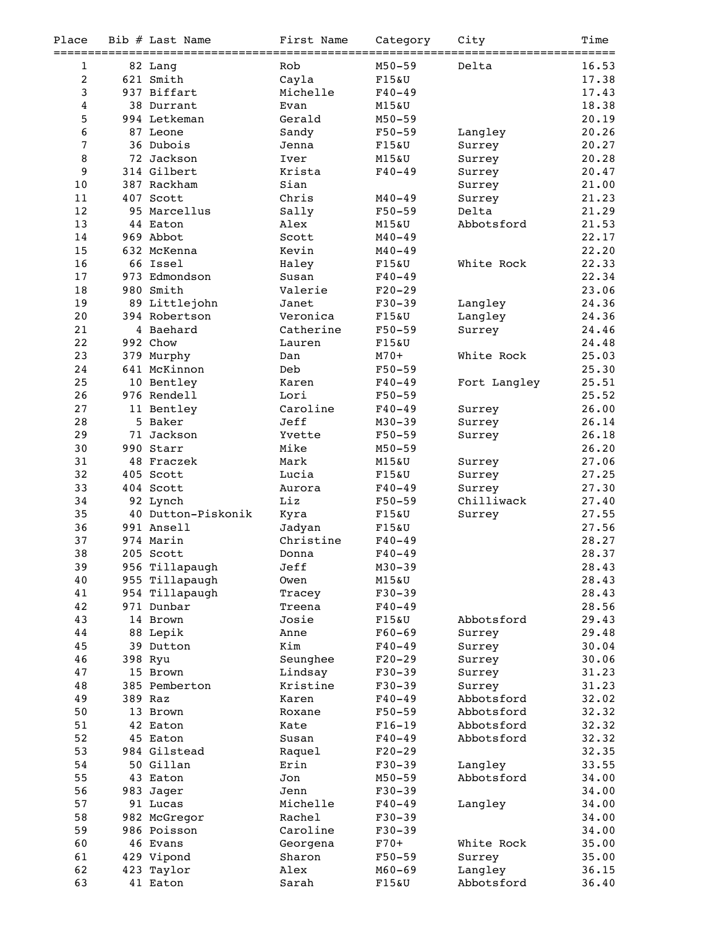| Place            | Bib # Last Name                 | First Name             | Category            | City                    | Time            |
|------------------|---------------------------------|------------------------|---------------------|-------------------------|-----------------|
| ===========<br>1 | ====================<br>82 Lang | ===============<br>Rob | $M50 - 59$          | :=============<br>Delta | ======<br>16.53 |
| $\overline{2}$   | 621 Smith                       | Cayla                  | F15&U               |                         | 17.38           |
| 3                | 937 Biffart                     | Michelle               | $F40 - 49$          |                         | 17.43           |
| $\overline{4}$   | 38 Durrant                      | Evan                   | <b>M15&amp;U</b>    |                         | 18.38           |
| 5                | 994 Letkeman                    | Gerald                 | $M50 - 59$          |                         | 20.19           |
| 6                | 87 Leone                        | Sandy                  | $F50 - 59$          | Langley                 | 20.26           |
| $\sqrt{ }$       | 36 Dubois                       | Jenna                  | F15&U               | Surrey                  | 20.27           |
| 8                | 72 Jackson                      | Iver                   | <b>M15&amp;U</b>    | Surrey                  | 20.28           |
| 9                | 314 Gilbert                     | Krista                 | $F40 - 49$          | Surrey                  | 20.47           |
| 10               | 387 Rackham                     | Sian                   |                     | Surrey                  | 21.00           |
| 11               | 407 Scott                       | Chris                  | $M40 - 49$          | Surrey                  | 21.23           |
| 12               | 95 Marcellus                    | Sally                  | $F50 - 59$          | Delta                   | 21.29           |
| 13               | 44 Eaton                        | Alex                   | <b>M15&amp;U</b>    | Abbotsford              | 21.53           |
| 14               | 969 Abbot                       | Scott                  | $M40 - 49$          |                         | 22.17           |
| 15               | 632 McKenna                     | Kevin                  | $M40 - 49$          |                         | 22.20           |
| 16               | 66 Issel                        | Haley                  | $F15\&U$            | White Rock              | 22.33           |
| 17               | 973 Edmondson                   | Susan                  | $F40 - 49$          |                         | 22.34           |
| 18               | 980 Smith                       | Valerie                | $F20-29$            |                         | 23.06           |
| 19               | 89 Littlejohn                   | Janet                  | $F30-39$            | Langley                 | 24.36           |
| 20               | 394 Robertson                   | Veronica               | $F15\&U$            | Langley                 | 24.36           |
| 21               | 4 Baehard                       | Catherine              | $F50 - 59$          | Surrey                  | 24.46           |
| 22               | 992 Chow                        | Lauren                 | F15&U               |                         | 24.48           |
| 23               | 379 Murphy                      | Dan                    | $M70+$              | White Rock              | 25.03           |
| 24               | 641 McKinnon                    | Deb                    | $F50 - 59$          |                         | 25.30           |
| 25               | 10 Bentley                      | Karen                  | $F40 - 49$          | Fort Langley            | 25.51           |
| 26               | 976 Rendell                     | Lori                   | $F50 - 59$          |                         | 25.52           |
| 27               | 11 Bentley                      | Caroline               | $F40 - 49$          | Surrey                  | 26.00           |
| 28               | 5 Baker                         | Jeff                   | $M30 - 39$          | Surrey                  | 26.14           |
| 29               | 71 Jackson                      | Yvette                 | $F50 - 59$          | Surrey                  | 26.18           |
| 30               | 990 Starr                       | Mike                   | $M50 - 59$          |                         | 26.20           |
| 31               | 48 Fraczek                      | Mark                   | M15&U               | Surrey                  | 27.06           |
| 32               | 405 Scott                       | Lucia                  | F15&U               | Surrey                  | 27.25           |
| 33               | 404 Scott                       | Aurora                 | $F40 - 49$          | Surrey                  | 27.30           |
| 34               | 92 Lynch                        | Liz                    | $F50 - 59$          | Chilliwack              | 27.40           |
| 35               | 40 Dutton-Piskonik              | Kyra                   | F15&U               | Surrey                  | 27.55           |
| 36               | 991 Ansell                      | Jadyan                 | F15&U               |                         | 27.56           |
| 37               | 974 Marin                       | Christine              | $F40 - 49$          |                         | 28.27           |
| 38               | 205 Scott                       | Donna                  | $F40 - 49$          |                         | 28.37           |
| 39               | 956 Tillapaugh                  | Jeff                   | $M30 - 39$          |                         | 28.43           |
| 40               | 955 Tillapaugh                  | Owen                   | M15&U               |                         | 28.43           |
| 41<br>42         | 954 Tillapaugh                  | Tracey<br>Treena       | $F30-39$            |                         | 28.43           |
|                  | 971 Dunbar<br>14 Brown          | Josie                  | $F40 - 49$<br>F15&U | Abbotsford              | 28.56           |
| 43<br>44         | 88 Lepik                        | Anne                   | $F60 - 69$          |                         | 29.43<br>29.48  |
| 45               | 39 Dutton                       | Kim                    | $F40 - 49$          | Surrey                  | 30.04           |
| 46               | 398 Ryu                         | Seunghee               | $F20-29$            | Surrey<br>Surrey        | 30.06           |
| 47               | 15 Brown                        | Lindsay                | $F30-39$            | Surrey                  | 31.23           |
| 48               | 385 Pemberton                   | Kristine               | $F30-39$            | Surrey                  | 31.23           |
| 49               | 389 Raz                         | Karen                  | $F40 - 49$          | Abbotsford              | 32.02           |
| 50               | 13 Brown                        | Roxane                 | $F50 - 59$          | Abbotsford              | 32.32           |
| 51               | 42 Eaton                        | Kate                   | $F16-19$            | Abbotsford              | 32.32           |
| 52               | 45 Eaton                        | Susan                  | $F40 - 49$          | Abbotsford              | 32.32           |
| 53               | 984 Gilstead                    | Raquel                 | $F20-29$            |                         | 32.35           |
| 54               | 50 Gillan                       | Erin                   | $F30-39$            | Langley                 | 33.55           |
| 55               | 43 Eaton                        | Jon                    | $M50 - 59$          | Abbotsford              | 34.00           |
| 56               | 983 Jager                       | Jenn                   | $F30-39$            |                         | 34.00           |
| 57               | 91 Lucas                        | Michelle               | $F40 - 49$          | Langley                 | 34.00           |
| 58               | 982 McGregor                    | Rachel                 | $F30-39$            |                         | 34.00           |
| 59               | 986 Poisson                     | Caroline               | $F30-39$            |                         | 34.00           |
| 60               | 46 Evans                        | Georgena               | $F70+$              | White Rock              | 35.00           |
| 61               | 429 Vipond                      | Sharon                 | F50-59              | Surrey                  | 35.00           |
| 62               | 423 Taylor                      | Alex                   | $M60 - 69$          | Langley                 | 36.15           |
| 63               | 41 Eaton                        | Sarah                  | F15&U               | Abbotsford              | 36.40           |
|                  |                                 |                        |                     |                         |                 |